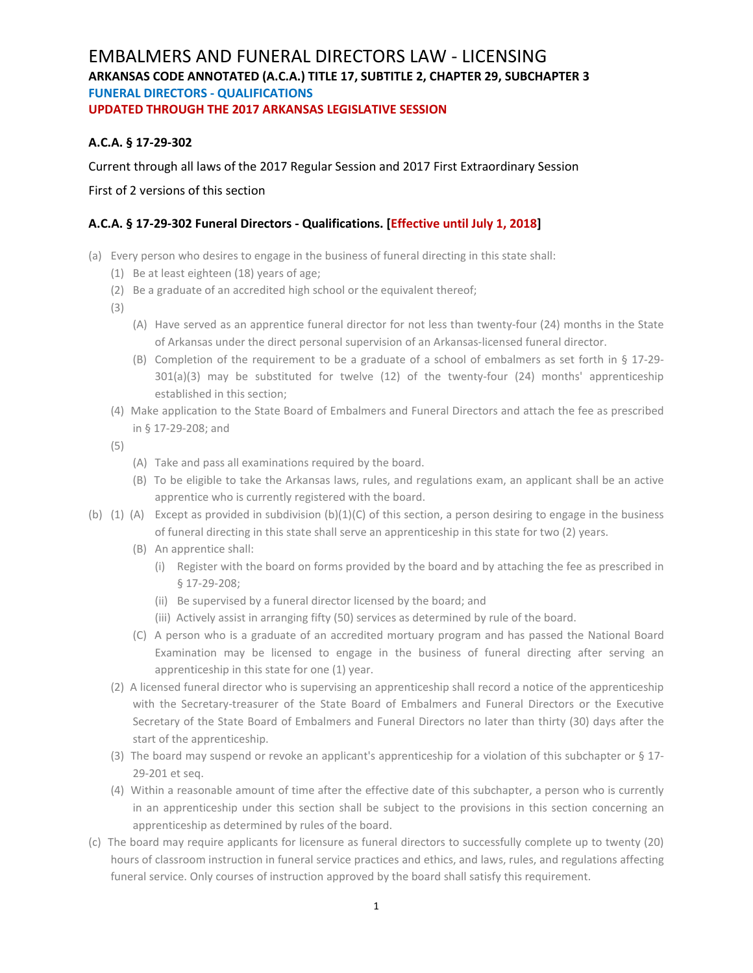# EMBALMERS AND FUNERAL DIRECTORS LAW - LICENSING **ARKANSAS CODE ANNOTATED (A.C.A.) TITLE 17, SUBTITLE 2, CHAPTER 29, SUBCHAPTER 3 FUNERAL DIRECTORS - QUALIFICATIONS UPDATED THROUGH THE 2017 ARKANSAS LEGISLATIVE SESSION**

### **A.C.A. § 17-29-302**

Current through all laws of the 2017 Regular Session and 2017 First Extraordinary Session

First of 2 versions of this section

#### **A.C.A. § 17-29-302 Funeral Directors - Qualifications. [Effective until July 1, 2018]**

- (a) Every person who desires to engage in the business of funeral directing in this state shall:
	- (1) Be at least eighteen (18) years of age;
	- (2) Be a graduate of an accredited high school or the equivalent thereof;
	- (3)
- (A) Have served as an apprentice funeral director for not less than twenty-four (24) months in the State of Arkansas under the direct personal supervision of an Arkansas-licensed funeral director.
- (B) Completion of the requirement to be a graduate of a school of embalmers as set forth in § 17-29-  $301(a)(3)$  may be substituted for twelve  $(12)$  of the twenty-four  $(24)$  months' apprenticeship established in this section;
- (4) Make application to the State Board of Embalmers and Funeral Directors and attach the fee as prescribed in § 17-29-208; and
- (5)
- (A) Take and pass all examinations required by the board.
- (B) To be eligible to take the Arkansas laws, rules, and regulations exam, an applicant shall be an active apprentice who is currently registered with the board.
- (b) (1) (A) Except as provided in subdivision (b)(1)(C) of this section, a person desiring to engage in the business of funeral directing in this state shall serve an apprenticeship in this state for two (2) years.
	- (B) An apprentice shall:
		- (i) Register with the board on forms provided by the board and by attaching the fee as prescribed in § 17-29-208;
		- (ii) Be supervised by a funeral director licensed by the board; and
		- (iii) Actively assist in arranging fifty (50) services as determined by rule of the board.
	- (C) A person who is a graduate of an accredited mortuary program and has passed the National Board Examination may be licensed to engage in the business of funeral directing after serving an apprenticeship in this state for one (1) year.
	- (2) A licensed funeral director who is supervising an apprenticeship shall record a notice of the apprenticeship with the Secretary-treasurer of the State Board of Embalmers and Funeral Directors or the Executive Secretary of the State Board of Embalmers and Funeral Directors no later than thirty (30) days after the start of the apprenticeship.
	- (3) The board may suspend or revoke an applicant's apprenticeship for a violation of this subchapter or § 17- 29-201 et seq.
	- (4) Within a reasonable amount of time after the effective date of this subchapter, a person who is currently in an apprenticeship under this section shall be subject to the provisions in this section concerning an apprenticeship as determined by rules of the board.
- (c) The board may require applicants for licensure as funeral directors to successfully complete up to twenty (20) hours of classroom instruction in funeral service practices and ethics, and laws, rules, and regulations affecting funeral service. Only courses of instruction approved by the board shall satisfy this requirement.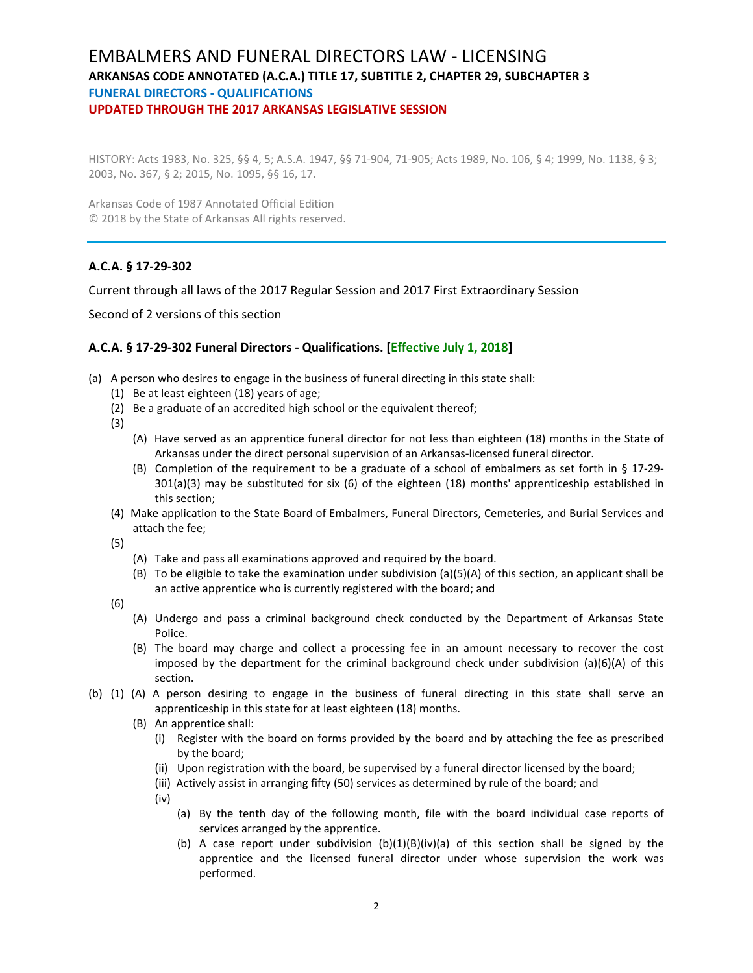### EMBALMERS AND FUNERAL DIRECTORS LAW - LICENSING **ARKANSAS CODE ANNOTATED (A.C.A.) TITLE 17, SUBTITLE 2, CHAPTER 29, SUBCHAPTER 3 FUNERAL DIRECTORS - QUALIFICATIONS UPDATED THROUGH THE 2017 ARKANSAS LEGISLATIVE SESSION**

HISTORY: Acts 1983, No. 325, §§ 4, 5; A.S.A. 1947, §§ 71-904, 71-905; Acts 1989, No. 106, § 4; 1999, No. 1138, § 3; 2003, No. 367, § 2; 2015, No. 1095, §§ 16, 17.

Arkansas Code of 1987 Annotated Official Edition © 2018 by the State of Arkansas All rights reserved.

#### **A.C.A. § 17-29-302**

Current through all laws of the 2017 Regular Session and 2017 First Extraordinary Session

Second of 2 versions of this section

#### **A.C.A. § 17-29-302 Funeral Directors - Qualifications. [Effective July 1, 2018]**

- (a) A person who desires to engage in the business of funeral directing in this state shall:
	- (1) Be at least eighteen (18) years of age;
	- (2) Be a graduate of an accredited high school or the equivalent thereof;
	- (3)
		- (A) Have served as an apprentice funeral director for not less than eighteen (18) months in the State of Arkansas under the direct personal supervision of an Arkansas-licensed funeral director.
		- (B) Completion of the requirement to be a graduate of a school of embalmers as set forth in § 17-29- 301(a)(3) may be substituted for six (6) of the eighteen (18) months' apprenticeship established in this section;
	- (4) Make application to the State Board of Embalmers, Funeral Directors, Cemeteries, and Burial Services and attach the fee;
	- (5)
		- (A) Take and pass all examinations approved and required by the board.
		- (B) To be eligible to take the examination under subdivision (a)(5)(A) of this section, an applicant shall be an active apprentice who is currently registered with the board; and
	- (6)
		- (A) Undergo and pass a criminal background check conducted by the Department of Arkansas State Police.
		- (B) The board may charge and collect a processing fee in an amount necessary to recover the cost imposed by the department for the criminal background check under subdivision  $(a)(6)(A)$  of this section.
- (b) (1) (A) A person desiring to engage in the business of funeral directing in this state shall serve an apprenticeship in this state for at least eighteen (18) months.
	- (B) An apprentice shall:
		- (i) Register with the board on forms provided by the board and by attaching the fee as prescribed by the board;
		- (ii) Upon registration with the board, be supervised by a funeral director licensed by the board;
		- (iii) Actively assist in arranging fifty (50) services as determined by rule of the board; and
		- (iv)
- (a) By the tenth day of the following month, file with the board individual case reports of services arranged by the apprentice.
- (b) A case report under subdivision  $(b)(1)(B)(iv)(a)$  of this section shall be signed by the apprentice and the licensed funeral director under whose supervision the work was performed.